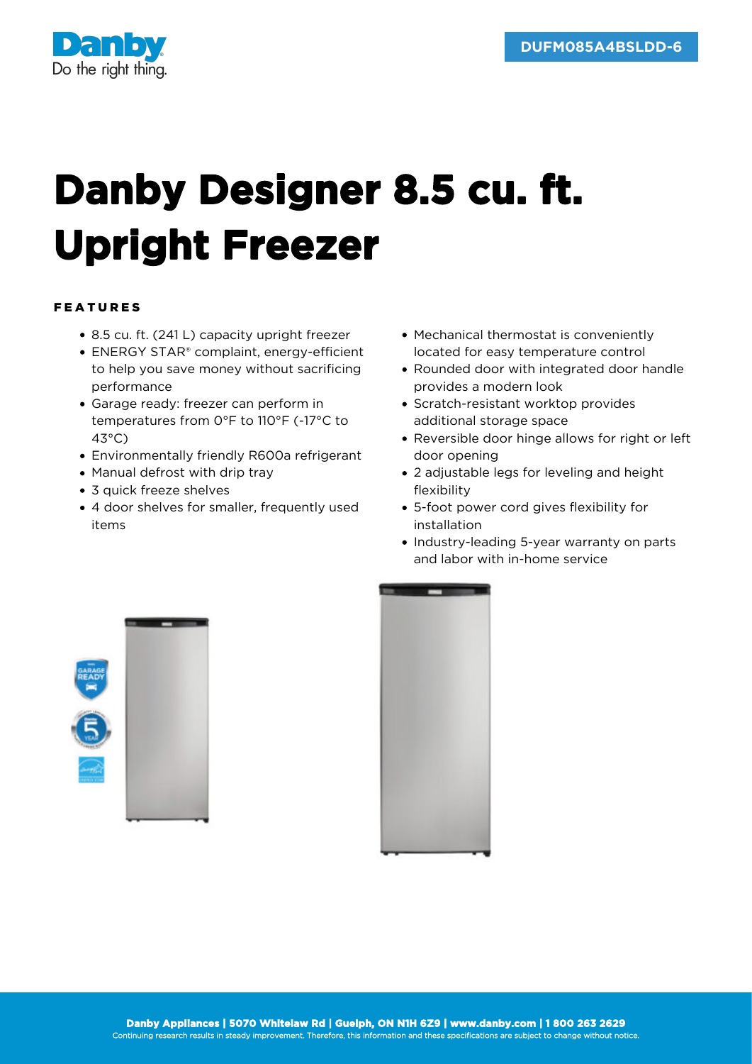

## **Danby Designer 8.5 cu. ft. Upright Freezer**

## FEATURES

- 8.5 cu. ft. (241 L) capacity upright freezer
- ENERGY STAR® complaint, energy-efficient to help you save money without sacrificing performance
- Garage ready: freezer can perform in temperatures from 0°F to 110°F (-17°C to 43°C)
- Environmentally friendly R600a refrigerant
- Manual defrost with drip tray
- 3 quick freeze shelves
- 4 door shelves for smaller, frequently used items
- Mechanical thermostat is conveniently located for easy temperature control
- Rounded door with integrated door handle provides a modern look
- Scratch-resistant worktop provides additional storage space
- Reversible door hinge allows for right or left door opening
- 2 adjustable legs for leveling and height flexibility
- 5-foot power cord gives flexibility for installation
- Industry-leading 5-year warranty on parts and labor with in-home service



| <b>Separa</b><br><b>Contract</b> |  |
|----------------------------------|--|
|                                  |  |
|                                  |  |
|                                  |  |
|                                  |  |
|                                  |  |
|                                  |  |
|                                  |  |
|                                  |  |
|                                  |  |